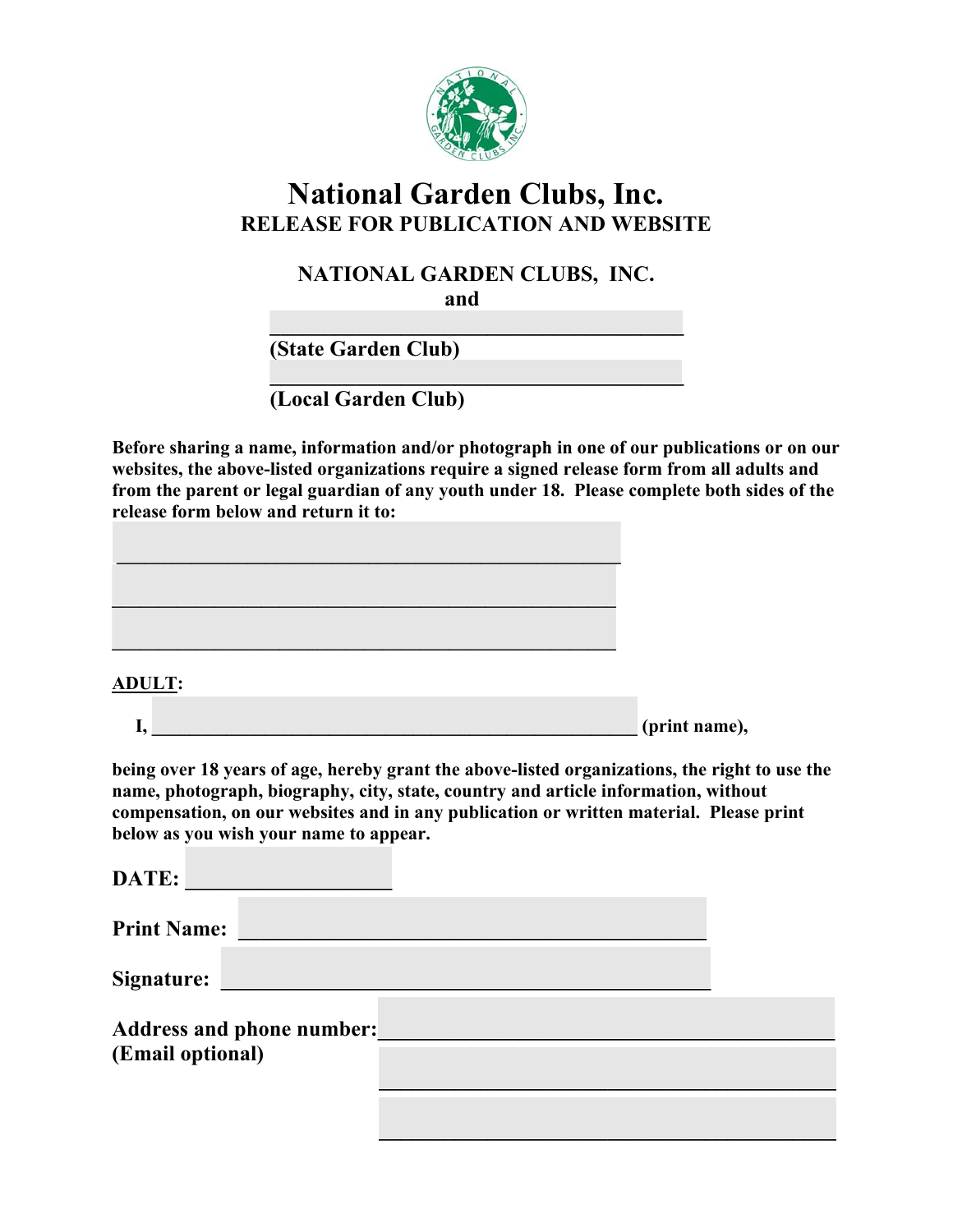

# **National Garden Clubs, Inc. RELEASE FOR PUBLICATION AND WEBSITE**

## **NATIONAL GARDEN CLUBS, INC.**

**and and** 

 $\mathcal{L} = \{ \mathcal{L} \mid \mathcal{L} \in \mathcal{L} \}$  , where  $\mathcal{L} = \{ \mathcal{L} \mid \mathcal{L} \in \mathcal{L} \}$  , where  $\mathcal{L} = \{ \mathcal{L} \mid \mathcal{L} \in \mathcal{L} \}$  **(State Garden Club)** 

 $\mathcal{L} = \{ \mathcal{L} \mid \mathcal{L} \in \mathcal{L} \}$  , where  $\mathcal{L} = \{ \mathcal{L} \mid \mathcal{L} \in \mathcal{L} \}$  , where  $\mathcal{L} = \{ \mathcal{L} \mid \mathcal{L} \in \mathcal{L} \}$  **(Local Garden Club)** 

**Before sharing a name, information and/or photograph in one of our publications or on our websites, the above-listed organizations require a signed release form from all adults and from the parent or legal guardian of any youth under 18. Please complete both sides of the release form below and return it to:** 



#### **ADULT:**

| л. | (print name), |
|----|---------------|
|    |               |

**being over 18 years of age, hereby grant the above-listed organizations, the right to use the name, photograph, biography, city, state, country and article information, without compensation, on our websites and in any publication or written material. Please print below as you wish your name to appear.** 

| DATE:              |                                  |  |  |
|--------------------|----------------------------------|--|--|
| <b>Print Name:</b> |                                  |  |  |
| <b>Signature:</b>  |                                  |  |  |
| (Email optional)   | <b>Address and phone number:</b> |  |  |
|                    |                                  |  |  |